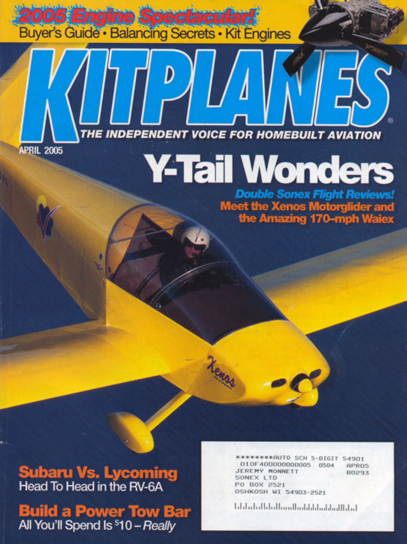**2005 Engine Spectacular!**<br>Buyer's Guide · Balancing Secrets · Kit Engines

THE INDEPENDENT VOICE FOR HOMEBUILT AVIATION

**APRIL 2005** 

## **Y-Tail Wonders**

**Double Sonex Flight Reviews! Meet the Xenos Motorglider and<br>the Amazing 170-mph Waiex** 

**Subaru Vs. Lycoming**<br>Head To Head in the RV-6A

**Build a Power Tow Bar** All You'll Spend Is \$10 - Really

\*\*\*\*\*AUTO SCH 5-DIGIT 54901 010F40000000005 0504 **APROS** JEREMY MONNETT **B0293** SONEX LTD PO BOX 2521 **OSHKOSH WI 54903-2521** 

ا بیان الزامه از بیان این است با این این این این ا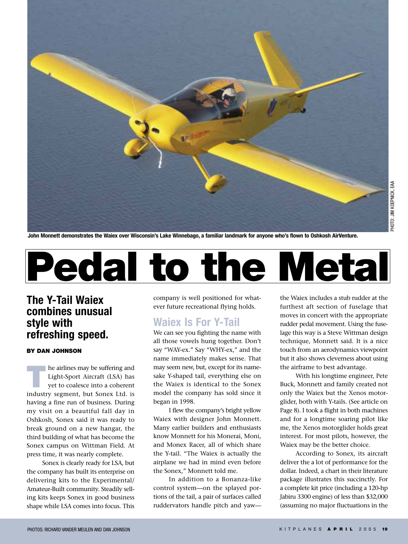

**John Monnett demonstrates the Waiex over Wisconsin's Lake Winnebago, a familiar landmark for anyone who's flown to Oshkosh AirVenture.**



#### **The Y-Tail Waiex combines unusual style with refreshing speed.**

#### **BY DAN JOHNSON**

**The airlines may be suffering and<br>Light-Sport Aircraft (LSA) has<br>yet to coalesce into a coherent** Light-Sport Aircraft (LSA) has industry segment, but Sonex Ltd. is having a fine run of business. During my visit on a beautiful fall day in Oshkosh, Sonex said it was ready to break ground on a new hangar, the third building of what has become the Sonex campus on Wittman Field. At press time, it was nearly complete.

Sonex is clearly ready for LSA, but the company has built its enterprise on delivering kits to the Experimental/ Amateur-Built community. Steadily selling kits keeps Sonex in good business shape while LSA comes into focus. This

company is well positioned for whatever future recreational flying holds.

#### **Waiex Is For Y-Tail**

We can see you fighting the name with all those vowels hung together. Don't say "WAY-ex." Say "WHY-ex," and the name immediately makes sense. That may seem new, but, except for its namesake Y-shaped tail, everything else on the Waiex is identical to the Sonex model the company has sold since it began in 1998.

I flew the company's bright yellow Waiex with designer John Monnett. Many earlier builders and enthusiasts know Monnett for his Monerai, Moni, and Monex Racer, all of which share the Y-tail. "The Waiex is actually the airplane we had in mind even before the Sonex," Monnett told me.

In addition to a Bonanza-like control system—on the splayed portions of the tail, a pair of surfaces called ruddervators handle pitch and yaw—

the Waiex includes a stub rudder at the furthest aft section of fuselage that moves in concert with the appropriate rudder pedal movement. Using the fuselage this way is a Steve Wittman design technique, Monnett said. It is a nice touch from an aerodynamics viewpoint but it also shows cleverness about using the airframe to best advantage.

With his longtime engineer, Pete Buck, Monnett and family created not only the Waiex but the Xenos motorglider, both with Y-tails. (See article on Page 8). I took a flight in both machines and for a longtime soaring pilot like me, the Xenos motorglider holds great interest. For most pilots, however, the Waiex may be the better choice.

According to Sonex, its aircraft deliver the a lot of performance for the dollar. Indeed, a chart in their literature package illustrates this succinctly. For a complete kit price (including a 120-hp Jabiru 3300 engine) of less than \$32,000 (assuming no major fluctuations in the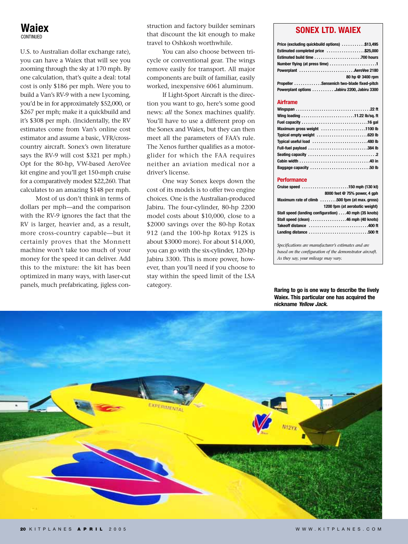U.S. to Australian dollar exchange rate), you can have a Waiex that will see you zooming through the sky at 170 mph. By one calculation, that's quite a deal: total cost is only \$186 per mph. Were you to build a Van's RV-9 with a new Lycoming, you'd be in for approximately \$52,000, or \$267 per mph; make it a quickbuild and it's \$308 per mph. (Incidentally, the RV estimates come from Van's online cost estimator and assume a basic, VFR/crosscountry aircraft. Sonex's own literature says the RV-9 will cost \$321 per mph.) Opt for the 80-hp, VW-based AeroVee kit engine and you'll get 150-mph cruise for a comparatively modest \$22,260. That calculates to an amazing \$148 per mph.

Most of us don't think in terms of dollars per mph—and the comparison with the RV-9 ignores the fact that the RV is larger, heavier and, as a result, more cross-country capable—but it certainly proves that the Monnett machine won't take too much of your money for the speed it can deliver. Add this to the mixture: the kit has been optimized in many ways, with laser-cut panels, much prefabricating, jigless construction and factory builder seminars that discount the kit enough to make travel to Oshkosh worthwhile.

You can also choose between tricycle or conventional gear. The wings remove easily for transport. All major components are built of familiar, easily worked, inexpensive 6061 aluminum.

If Light-Sport Aircraft is the direction you want to go, here's some good news: *all* the Sonex machines qualify. You'll have to use a different prop on the Sonex and Waiex, but they can then meet all the parameters of FAA's rule. The Xenos further qualifies as a motorglider for which the FAA requires neither an aviation medical nor a driver's license.

One way Sonex keeps down the cost of its models is to offer two engine choices. One is the Australian-produced Jabiru. The four-cylinder, 80-hp 2200 model costs about \$10,000, close to a \$2000 savings over the 80-hp Rotax 912 (and the 100-hp Rotax 912S is about \$3000 more). For about \$14,000, you can go with the six-cylinder, 120-hp Jabiru 3300. This is more power, however, than you'll need if you choose to stay within the speed limit of the LSA category.

#### **SONEX LTD. WAIEX**

| Price (excluding quickbuild options) \$13,495                       |
|---------------------------------------------------------------------|
| Estimated completed price \$25,000                                  |
|                                                                     |
| Number flying (at press time) $\dots\dots\dots\dots\dots\dots\dots$ |
| Powerplant AeroVee 2180                                             |
| 80 hp @ 3400 rpm                                                    |
| Propeller Sensenich two-blade fixed-pitch                           |
| Powerplant options Jabiru 2200, Jabiru 3300                         |
|                                                                     |

#### **Airframe**

| Maximum gross weight 1100 lb |  |
|------------------------------|--|
| Typical empty weight 620 lb  |  |
| Typical useful load 480 lb   |  |
| Full-fuel payload 384 lb     |  |
|                              |  |
|                              |  |
| Baggage capacity 50 lb       |  |

#### **Performance**

| Cruise speed 150 mph (130 kt)                         |
|-------------------------------------------------------|
| 8000 feet @ 75% power, 4 aph                          |
| Maximum rate of climb 500 fpm (at max. gross)         |
| 1200 fpm (at aerobatic weight)                        |
| Stall speed (landing configuration) 40 mph (35 knots) |
| Stall speed (clean) 46 mph (40 knots)                 |
| Takeoff distance 400 ft                               |
| Landing distance 500 ft                               |
|                                                       |

*Specifications are manufacturer's estimates and are based on the configuration of the demonstrator aircraft. As they say, your mileage may vary.*

**Raring to go is one way to describe the lively Waiex. This particular one has acquired the nickname** *Yellow Jack***.**

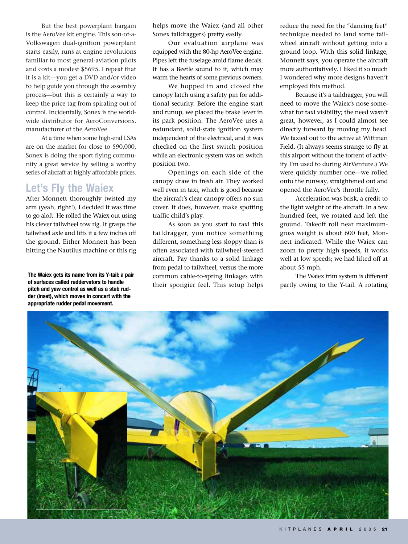But the best powerplant bargain is the AeroVee kit engine. This son-of-a-Volkswagen dual-ignition powerplant starts easily, runs at engine revolutions familiar to most general-aviation pilots and costs a modest \$5695. I repeat that it is a kit—you get a DVD and/or video to help guide you through the assembly process—but this is certainly a way to keep the price tag from spiraling out of control. Incidentally, Sonex is the worldwide distributor for AeroConversions, manufacturer of the AeroVee.

At a time when some high-end LSAs are on the market for close to \$90,000, Sonex is doing the sport flying community a great service by selling a worthy series of aircraft at highly affordable prices.

#### **Let's Fly the Waiex**

After Monnett thoroughly twisted my arm (yeah, right!), I decided it was time to go aloft. He rolled the Waiex out using his clever tailwheel tow rig. It grasps the tailwheel axle and lifts it a few inches off the ground. Either Monnett has been hitting the Nautilus machine or this rig

**The Waiex gets its name from its Y-tail: a pair of surfaces called ruddervators to handle pitch and yaw control as well as a stub rudder (inset), which moves in concert with the appropriate rudder pedal movement.**

helps move the Waiex (and all other Sonex taildraggers) pretty easily.

Our evaluation airplane was equipped with the 80-hp AeroVee engine. Pipes left the fuselage amid flame decals. It has a Beetle sound to it, which may warm the hearts of some previous owners.

We hopped in and closed the canopy latch using a safety pin for additional security. Before the engine start and runup, we placed the brake lever in its park position. The AeroVee uses a redundant, solid-state ignition system independent of the electrical, and it was checked on the first switch position while an electronic system was on switch position two.

Openings on each side of the canopy draw in fresh air. They worked well even in taxi, which is good because the aircraft's clear canopy offers no sun cover. It does, however, make spotting traffic child's play.

As soon as you start to taxi this taildragger, you notice something different, something less sloppy than is often associated with tailwheel-steered aircraft. Pay thanks to a solid linkage from pedal to tailwheel, versus the more common cable-to-spring linkages with their spongier feel. This setup helps reduce the need for the "dancing feet" technique needed to land some tailwheel aircraft without getting into a ground loop. With this solid linkage, Monnett says, you operate the aircraft more authoritatively. I liked it so much I wondered why more designs haven't employed this method.

Because it's a taildragger, you will need to move the Waiex's nose somewhat for taxi visibility; the need wasn't great, however, as I could almost see directly forward by moving my head. We taxied out to the active at Wittman Field. (It always seems strange to fly at this airport without the torrent of activity I'm used to during AirVenture.) We were quickly number one—we rolled onto the runway, straightened out and opened the AeroVee's throttle fully.

Acceleration was brisk, a credit to the light weight of the aircraft. In a few hundred feet, we rotated and left the ground. Takeoff roll near maximumgross weight is about 600 feet, Monnett indicated. While the Waiex can zoom to pretty high speeds, it works well at low speeds; we had lifted off at about 55 mph.

The Waiex trim system is different partly owing to the Y-tail. A rotating

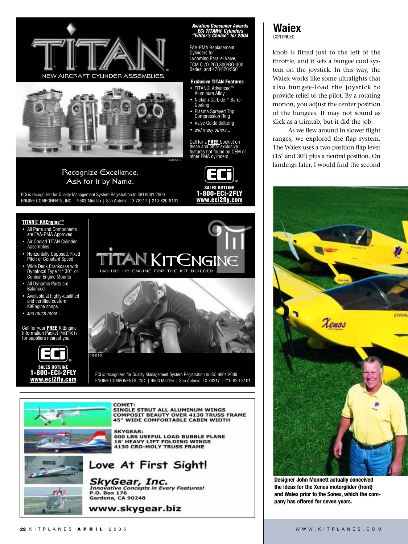

knob is fitted just to the left of the throttle, and it sets a bungee cord system on the joystick. In this way, the Waiex works like some ultralights that also bungee-load the joystick to provide relief to the pilot. By a rotating motion, you adjust the center position of the bungees. It may not sound as slick as a trimtab, but it did the job.

As we flew around in slower flight ranges, we explored the flap system. The Waiex uses a two-position flap lever (15° and 30°) plus a neutral position. On landings later, I would find the second



**Designer John Monnett actually conceived the ideas for the Xenos motorglider (front) and Waiex prior to the Sonex, which the company has offered for seven years.**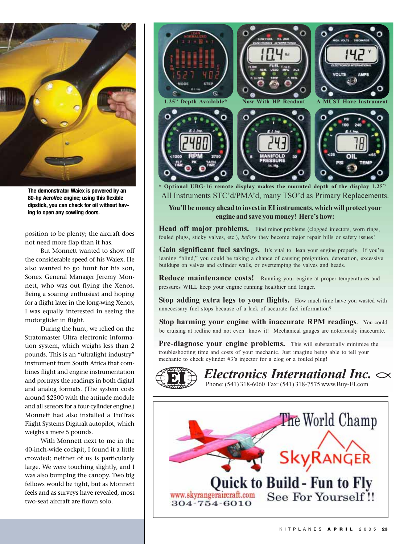

**The demonstrator Waiex is powered by an 80-hp AeroVee engine; using this flexible dipstick, you can check for oil without having to open any cowling doors.**

position to be plenty; the aircraft does not need more flap than it has.

But Monnett wanted to show off the considerable speed of his Waiex. He also wanted to go hunt for his son, Sonex General Manager Jeremy Monnett, who was out flying the Xenos. Being a soaring enthusiast and hoping for a flight later in the long-wing Xenos, I was equally interested in seeing the motorglider in flight.

During the hunt, we relied on the Stratomaster Ultra electronic information system, which weighs less than 2 pounds. This is an "ultralight industry" instrument from South Africa that combines flight and engine instrumentation and portrays the readings in both digital and analog formats. (The system costs around \$2500 with the attitude module and all sensors for a four-cylinder engine.) Monnett had also installed a TruTrak Flight Systems Digitrak autopilot, which weighs a mere 5 pounds.

With Monnett next to me in the 40-inch-wide cockpit, I found it a little crowded; neither of us is particularly large. We were touching slightly, and I was also bumping the canopy. Two big fellows would be tight, but as Monnett feels and as surveys have revealed, most two-seat aircraft are flown solo.



All Instruments STC'd/PMA'd, many TSO'd as Primary Replacements. **\* Optional UBG-16 remote display makes the mounted depth of the display 1.25"**

**You'll be money ahead to invest in EI instruments, which will protect your engine and save you money! Here's how:**

**Head off major problems.** Find minor problems (clogged injectors, worn rings, fouled plugs, sticky valves, etc.), *before* they become major repair bills or safety issues!

Gain significant fuel savings. It's vital to lean your engine properly. If you're leaning "blind," you could be taking a chance of causing preignition, detonation, excessive buildups on valves and cylinder walls, or overtemping the valves and heads.

Reduce maintenance costs! Running your engine at proper temperatures and pressures WILL keep your engine running healthier and longer.

**Stop adding extra legs to your flights.** How much time have you wasted with unnecessary fuel stops because of a lack of accurate fuel information?

**Stop harming your engine with inaccurate RPM readings**. You could be cruising at redline and not even know it! Mechanical gauges are notoriously inaccurate.

**Pre-diagnose your engine problems.** This will substantially minimize the troubleshooting time and costs of your mechanic. Just imagine being able to tell your mechanic to check cylinder #3's injector for a clog or a fouled plug!

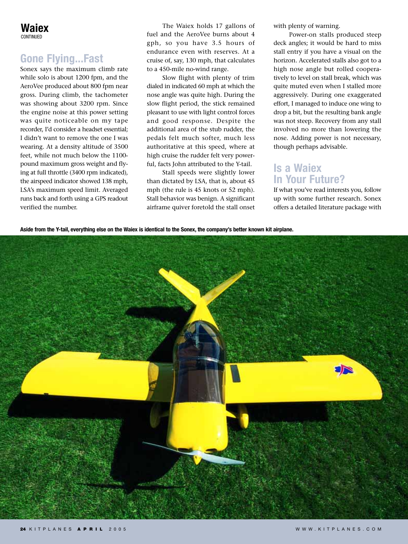#### **Gone Flying...Fast**

Sonex says the maximum climb rate while solo is about 1200 fpm, and the AeroVee produced about 800 fpm near gross. During climb, the tachometer was showing about 3200 rpm. Since the engine noise at this power setting was quite noticeable on my tape recorder, I'd consider a headset essential; I didn't want to remove the one I was wearing. At a density altitude of 3500 feet, while not much below the 1100 pound maximum gross weight and flying at full throttle (3400 rpm indicated), the airspeed indicator showed 138 mph, LSA's maximum speed limit. Averaged runs back and forth using a GPS readout verified the number.

The Waiex holds 17 gallons of fuel and the AeroVee burns about 4 gph, so you have 3.5 hours of endurance even with reserves. At a cruise of, say, 130 mph, that calculates to a 450-mile no-wind range.

Slow flight with plenty of trim dialed in indicated 60 mph at which the nose angle was quite high. During the slow flight period, the stick remained pleasant to use with light control forces and good response. Despite the additional area of the stub rudder, the pedals felt much softer, much less authoritative at this speed, where at high cruise the rudder felt very powerful, facts John attributed to the Y-tail.

Stall speeds were slightly lower than dictated by LSA, that is, about 45 mph (the rule is 45 knots or 52 mph). Stall behavior was benign. A significant airframe quiver foretold the stall onset with plenty of warning.

Power-on stalls produced steep deck angles; it would be hard to miss stall entry if you have a visual on the horizon. Accelerated stalls also got to a high nose angle but rolled cooperatively to level on stall break, which was quite muted even when I stalled more aggressively. During one exaggerated effort, I managed to induce one wing to drop a bit, but the resulting bank angle was not steep. Recovery from any stall involved no more than lowering the nose. Adding power is not necessary, though perhaps advisable.

#### **Is a Waiex In Your Future?**

If what you've read interests you, follow up with some further research. Sonex offers a detailed literature package with

**Aside from the Y-tail, everything else on the Waiex is identical to the Sonex, the company's better known kit airplane.**

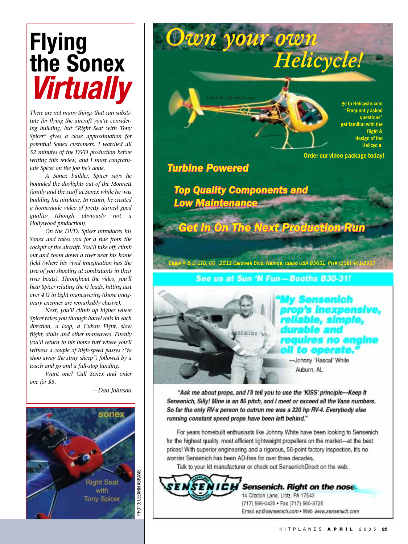### **Flying the Sonex** *Virtually*

*There are not many things that can substitute for flying the aircraft you're considering building, but "Right Seat with Tony Spicer" gives a close approximation for potential Sonex customers. I watched all 52 minutes of the DVD production before writing this review, and I must congratulate Spicer on the job he's done.*

*A Sonex builder, Spicer says he hounded the daylights out of the Monnett family and the staff at Sonex while he was building his airplane. In return, he created a homemade video of pretty darned good quality (though obviously not a Hollywood production).*

*On the DVD, Spicer introduces his Sonex and takes you for a ride from the cockpit of the aircraft. You'll take off, climb out and zoom down a river near his home field (where his vivid imagination has the two of you shooting at combatants in their river boats). Throughout the video, you'll hear Spicer relating the G loads, hitting just over 4 G in tight maneuvering (those imaginary enemies are remarkably elusive).*

*Next, you'll climb up higher where Spicer takes you through barrel rolls in each direction, a loop, a Cuban Eight, slow flight, stalls and other maneuvers. Finally you'll return to his home turf where you'll witness a couple of high-speed passes ("to shoo away the stray sheep") followed by a touch and go and a full-stop landing.*

*Want one? Call Sonex and order one for \$5.*

*—Dan Johnson*



Own your own Helicycle! go to Helicycle.com **Frequently asked** questions" et familiar with the flight & design of the Helicycle. Order our video package today!

**Turbine Powered** 

**Top Quality Components and** Low Maintenance

**Get In On The Next Production Run** 

See us at Sun 'N Fun-Booths B30-31!

Eagle R & D, LTD, CO 2512 Caldwell Blvd. Nampa, Idaho USA 83651 PH# (208) 461-2567

# o operate

-Johnny "Rascal" White Auburn, AL

"Ask me about props, and I'll tell you to use the 'KISS' principle-Keep It Sensenich, Silly! Mine is an 85 pitch, and I meet or exceed all the Vans numbers. So far the only RV-x person to outrun me was a 220 hp RV-4. Everybody else running constant speed props have been left behind."

For years homebuilt enthusiasts like Johnny White have been looking to Sensenich for the highest quality, most efficient lightweight propellers on the market-at the best prices! With superior engineering and a rigorous, 56-point factory inspection, it's no wonder Sensenich has been AD-free for over three decades.

Talk to your kit manufacturer or check out SensenichDirect on the web.

Sensenich. Right on the nose. 14 Citation Lane, Lititz, PA 17543 (717) 569-0435 · Fax (717) 560-3725 Email ez@sensenich.com . Web www.sensenich.com